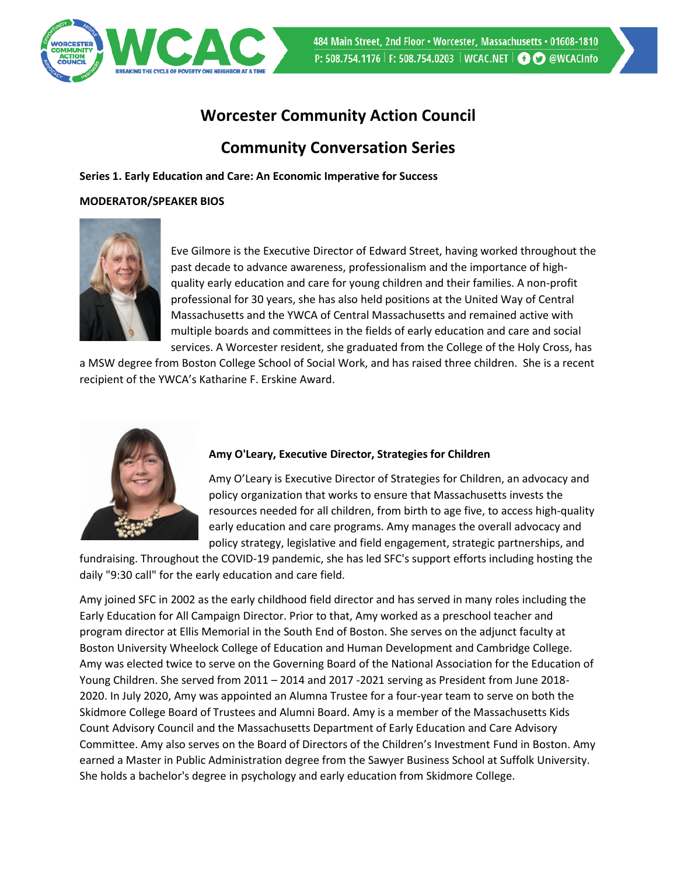

# **Worcester Community Action Council**

## **Community Conversation Series**

**Series 1. Early Education and Care: An Economic Imperative for Success** 

## **MODERATOR/SPEAKER BIOS**



Eve Gilmore is the Executive Director of Edward Street, having worked throughout the past decade to advance awareness, professionalism and the importance of highquality early education and care for young children and their families. A non-profit professional for 30 years, she has also held positions at the United Way of Central Massachusetts and the YWCA of Central Massachusetts and remained active with multiple boards and committees in the fields of early education and care and social services. A Worcester resident, she graduated from the College of the Holy Cross, has

a MSW degree from Boston College School of Social Work, and has raised three children. She is a recent recipient of the YWCA's Katharine F. Erskine Award.



## **Amy O'Leary, Executive Director, Strategies for Children**

Amy O'Leary is Executive Director of Strategies for Children, an advocacy and policy organization that works to ensure that Massachusetts invests the resources needed for all children, from birth to age five, to access high-quality early education and care programs. Amy manages the overall advocacy and policy strategy, legislative and field engagement, strategic partnerships, and

fundraising. Throughout the COVID-19 pandemic, she has led SFC's support efforts including hosting the daily "9:30 call" for the early education and care field.

Amy joined SFC in 2002 as the early childhood field director and has served in many roles including the Early Education for All Campaign Director. Prior to that, Amy worked as a preschool teacher and program director at Ellis Memorial in the South End of Boston. She serves on the adjunct faculty at Boston University Wheelock College of Education and Human Development and Cambridge College. Amy was elected twice to serve on the Governing Board of the National Association for the Education of Young Children. She served from 2011 – 2014 and 2017 -2021 serving as President from June 2018- 2020. In July 2020, Amy was appointed an Alumna Trustee for a four-year team to serve on both the Skidmore College Board of Trustees and Alumni Board. Amy is a member of the Massachusetts Kids Count Advisory Council and the Massachusetts Department of Early Education and Care Advisory Committee. Amy also serves on the Board of Directors of the Children's Investment Fund in Boston. Amy earned a Master in Public Administration degree from the Sawyer Business School at Suffolk University. She holds a bachelor's degree in psychology and early education from Skidmore College.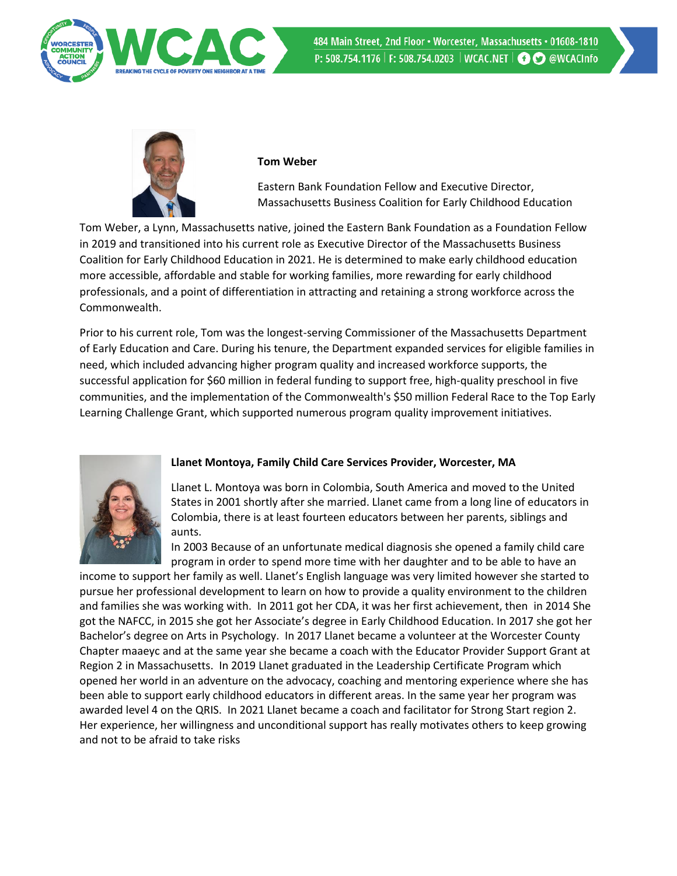

484 Main Street, 2nd Floor . Worcester, Massachusetts . 01608-1810 P: 508.754.1176 | F: 508.754.0203 | WCAC.NET | **@O** @WCACInfo



#### **Tom Weber**

Eastern Bank Foundation Fellow and Executive Director, Massachusetts Business Coalition for Early Childhood Education

Tom Weber, a Lynn, Massachusetts native, joined the Eastern Bank Foundation as a Foundation Fellow in 2019 and transitioned into his current role as Executive Director of the Massachusetts Business Coalition for Early Childhood Education in 2021. He is determined to make early childhood education more accessible, affordable and stable for working families, more rewarding for early childhood professionals, and a point of differentiation in attracting and retaining a strong workforce across the Commonwealth.

Prior to his current role, Tom was the longest-serving Commissioner of the Massachusetts Department of Early Education and Care. During his tenure, the Department expanded services for eligible families in need, which included advancing higher program quality and increased workforce supports, the successful application for \$60 million in federal funding to support free, high-quality preschool in five communities, and the implementation of the Commonwealth's \$50 million Federal Race to the Top Early Learning Challenge Grant, which supported numerous program quality improvement initiatives.



## **Llanet Montoya, Family Child Care Services Provider, Worcester, MA**

Llanet L. Montoya was born in Colombia, South America and moved to the United States in 2001 shortly after she married. Llanet came from a long line of educators in Colombia, there is at least fourteen educators between her parents, siblings and aunts.

In 2003 Because of an unfortunate medical diagnosis she opened a family child care program in order to spend more time with her daughter and to be able to have an

income to support her family as well. Llanet's English language was very limited however she started to pursue her professional development to learn on how to provide a quality environment to the children and families she was working with. In 2011 got her CDA, it was her first achievement, then in 2014 She got the NAFCC, in 2015 she got her Associate's degree in Early Childhood Education. In 2017 she got her Bachelor's degree on Arts in Psychology. In 2017 Llanet became a volunteer at the Worcester County Chapter maaeyc and at the same year she became a coach with the Educator Provider Support Grant at Region 2 in Massachusetts. In 2019 Llanet graduated in the Leadership Certificate Program which opened her world in an adventure on the advocacy, coaching and mentoring experience where she has been able to support early childhood educators in different areas. In the same year her program was awarded level 4 on the QRIS. In 2021 Llanet became a coach and facilitator for Strong Start region 2. Her experience, her willingness and unconditional support has really motivates others to keep growing and not to be afraid to take risks